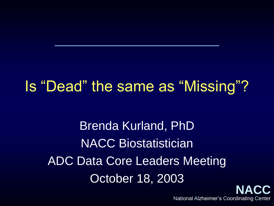### Is "Dead" the same as "Missing"?

Brenda Kurland, PhD NACC Biostatistician ADC Data Core Leaders Meeting October 18, 2003

**NACC** National Alzheimer's Coordinating Center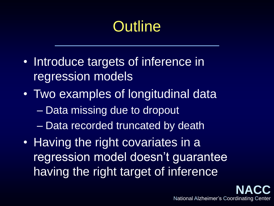# **Outline**

- Introduce targets of inference in regression models
- Two examples of longitudinal data
	- Data missing due to dropout
	- Data recorded truncated by death
- Having the right covariates in a regression model doesn't guarantee having the right target of inference

**NACC**

National Alzheimer's Coordinating Center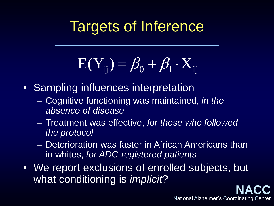### Targets of Inference

$$
E(Y_{ij}) = \beta_0 + \beta_1 \cdot X_{ij}
$$

- Sampling influences interpretation
	- Cognitive functioning was maintained, *in the absence of disease*
	- Treatment was effective, *for those who followed the protocol*
	- Deterioration was faster in African Americans than in whites, *for ADC-registered patients*
- We report exclusions of enrolled subjects, but what conditioning is *implicit*?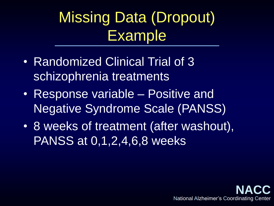Missing Data (Dropout) Example

- Randomized Clinical Trial of 3 schizophrenia treatments
- Response variable Positive and Negative Syndrome Scale (PANSS)
- 8 weeks of treatment (after washout), PANSS at 0,1,2,4,6,8 weeks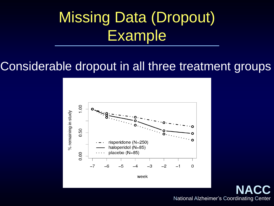# Missing Data (Dropout) Example

#### Considerable dropout in all three treatment groups



week

**NACC** National Alzheimer's Coordinating Center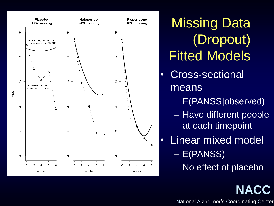

**Missing Data** (Dropout) Fitted Models

- Cross-sectional means
	- E(PANSS|observed)
	- Have different people at each timepoint
- Linear mixed model – E(PANSS)
	- No effect of placebo

National Alzheimer's Coordinating Center

**NACC**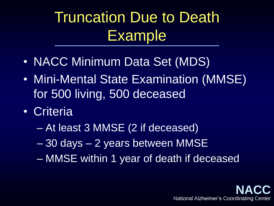Truncation Due to Death Example

- NACC Minimum Data Set (MDS)
- Mini-Mental State Examination (MMSE) for 500 living, 500 deceased
- Criteria
	- At least 3 MMSE (2 if deceased)
	- 30 days 2 years between MMSE
	- MMSE within 1 year of death if deceased

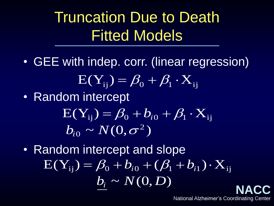### Truncation Due to Death Fitted Models

- GEE with indep. corr. (linear regression)  $\mathrm{E}(\mathrm{Y}_{\mathrm{ij}})$   $=$   $\beta_{\mathrm{0}} + \beta_{\mathrm{l}}\cdot \mathrm{X}_{\mathrm{ij}}$
- Random intercept ~~  $N(0, \sigma^2)$  $\mathrm{E}(\mathrm{Y}_{\mathrm{ij}}) = \beta_{\mathrm{0}} + b_{i\mathrm{0}} + \beta_{\mathrm{l}}\cdot\mathrm{X}_{\mathrm{ij}}$  $b^{}_{i0} \thicksim N(0, \sigma)$
- **NACC** • Random intercept and slope  $b_i \sim N(0, D)$  $\text{E}(\text{Y}_{\text{ij}}) = \beta_{\text{0}} + b_{\text{i} \text{0}} + (\beta_{\text{l}} + b_{\text{i} \text{l}}) \cdot \text{X}_{\text{i} \text{j}}$  $= \beta_{0} + b_{i0} + (\beta_{1} + b_{i1}) \cdot$

National Alzheimer's Coordinating Center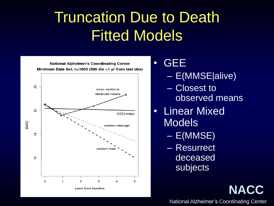### Truncation Due to Death Fitted Models



• GEE

- E(MMSE|alive)
- Closest to observed means
- Linear Mixed **Models** 
	- E(MMSE)
	- Resurrect deceased subjects

National Alzheimer's Coordinating Center

**NACC**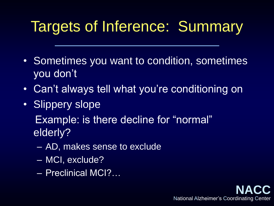## Targets of Inference: Summary

- Sometimes you want to condition, sometimes you don't
- Can't always tell what you're conditioning on
- Slippery slope

Example: is there decline for "normal" elderly?

- AD, makes sense to exclude
- MCI, exclude?
- Preclinical MCI?…